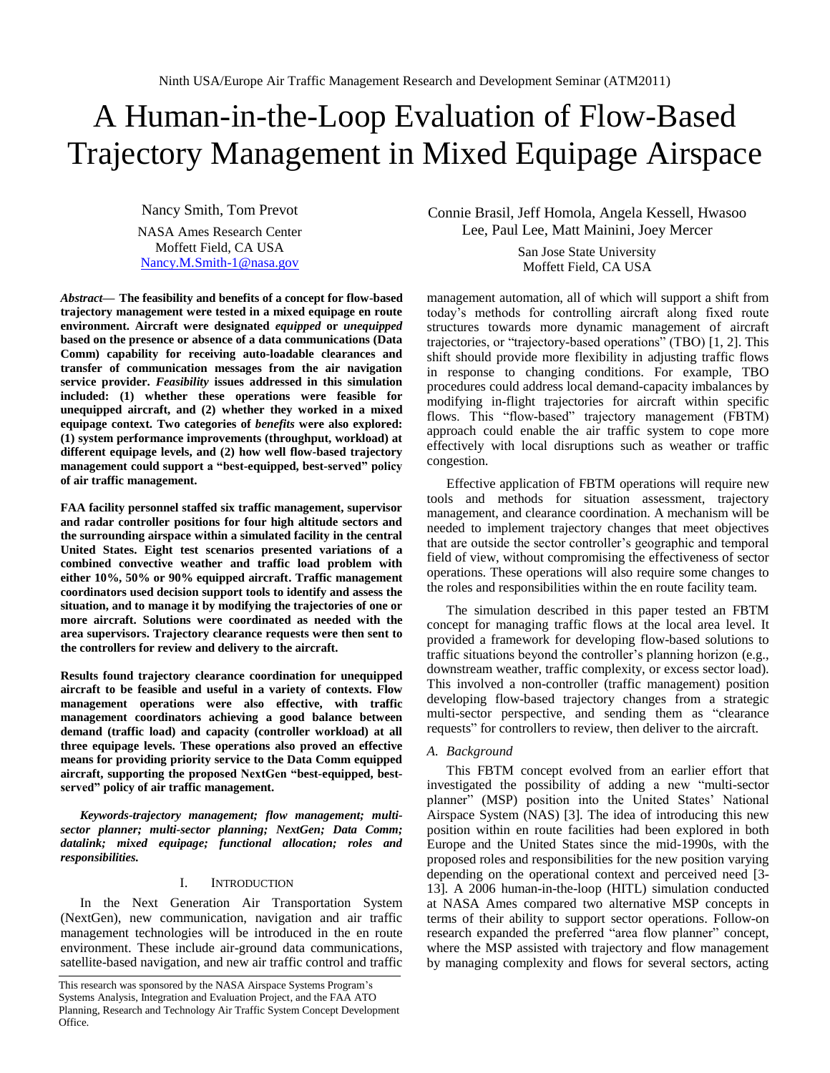# A Human-in-the-Loop Evaluation of Flow-Based Trajectory Management in Mixed Equipage Airspace

Nancy Smith, Tom Prevot

NASA Ames Research Center Moffett Field, CA USA [Nancy.M.Smith-1@nasa.gov](mailto:Nancy.M.Smith-1@nasa.gov)

*Abstract***— The feasibility and benefits of a concept for flow-based trajectory management were tested in a mixed equipage en route environment. Aircraft were designated** *equipped* **or** *unequipped* **based on the presence or absence of a data communications (Data Comm) capability for receiving auto-loadable clearances and transfer of communication messages from the air navigation service provider.** *Feasibility* **issues addressed in this simulation included: (1) whether these operations were feasible for unequipped aircraft, and (2) whether they worked in a mixed equipage context. Two categories of** *benefits* **were also explored: (1) system performance improvements (throughput, workload) at different equipage levels, and (2) how well flow-based trajectory management could support a "best-equipped, best-served" policy of air traffic management.**

**FAA facility personnel staffed six traffic management, supervisor and radar controller positions for four high altitude sectors and the surrounding airspace within a simulated facility in the central United States. Eight test scenarios presented variations of a combined convective weather and traffic load problem with either 10%, 50% or 90% equipped aircraft. Traffic management coordinators used decision support tools to identify and assess the situation, and to manage it by modifying the trajectories of one or more aircraft. Solutions were coordinated as needed with the area supervisors. Trajectory clearance requests were then sent to the controllers for review and delivery to the aircraft.** 

**Results found trajectory clearance coordination for unequipped aircraft to be feasible and useful in a variety of contexts. Flow management operations were also effective, with traffic management coordinators achieving a good balance between demand (traffic load) and capacity (controller workload) at all three equipage levels. These operations also proved an effective means for providing priority service to the Data Comm equipped aircraft, supporting the proposed NextGen "best-equipped, bestserved" policy of air traffic management.** 

*Keywords-trajectory management; flow management; multisector planner; multi-sector planning; NextGen; Data Comm; datalink; mixed equipage; functional allocation; roles and responsibilities.*

# I. INTRODUCTION

In the Next Generation Air Transportation System (NextGen), new communication, navigation and air traffic management technologies will be introduced in the en route environment. These include air-ground data communications, satellite-based navigation, and new air traffic control and traffic

Connie Brasil, Jeff Homola, Angela Kessell, Hwasoo Lee, Paul Lee, Matt Mainini, Joey Mercer

> San Jose State University Moffett Field, CA USA

management automation, all of which will support a shift from today's methods for controlling aircraft along fixed route structures towards more dynamic management of aircraft trajectories, or "trajectory-based operations" (TBO) [1, 2]. This shift should provide more flexibility in adjusting traffic flows in response to changing conditions. For example, TBO procedures could address local demand-capacity imbalances by modifying in-flight trajectories for aircraft within specific flows. This "flow-based" trajectory management (FBTM) approach could enable the air traffic system to cope more effectively with local disruptions such as weather or traffic congestion.

Effective application of FBTM operations will require new tools and methods for situation assessment, trajectory management, and clearance coordination. A mechanism will be needed to implement trajectory changes that meet objectives that are outside the sector controller's geographic and temporal field of view, without compromising the effectiveness of sector operations. These operations will also require some changes to the roles and responsibilities within the en route facility team.

The simulation described in this paper tested an FBTM concept for managing traffic flows at the local area level. It provided a framework for developing flow-based solutions to traffic situations beyond the controller's planning horizon (e.g., downstream weather, traffic complexity, or excess sector load). This involved a non-controller (traffic management) position developing flow-based trajectory changes from a strategic multi-sector perspective, and sending them as "clearance requests" for controllers to review, then deliver to the aircraft.

# *A. Background*

This FBTM concept evolved from an earlier effort that investigated the possibility of adding a new "multi-sector planner" (MSP) position into the United States' National Airspace System (NAS) [3]. The idea of introducing this new position within en route facilities had been explored in both Europe and the United States since the mid-1990s, with the proposed roles and responsibilities for the new position varying depending on the operational context and perceived need [3- 13]. A 2006 human-in-the-loop (HITL) simulation conducted at NASA Ames compared two alternative MSP concepts in terms of their ability to support sector operations. Follow-on research expanded the preferred "area flow planner" concept, where the MSP assisted with trajectory and flow management by managing complexity and flows for several sectors, acting

This research was sponsored by the NASA Airspace Systems Program's Systems Analysis, Integration and Evaluation Project, and the FAA ATO Planning, Research and Technology Air Traffic System Concept Development Office.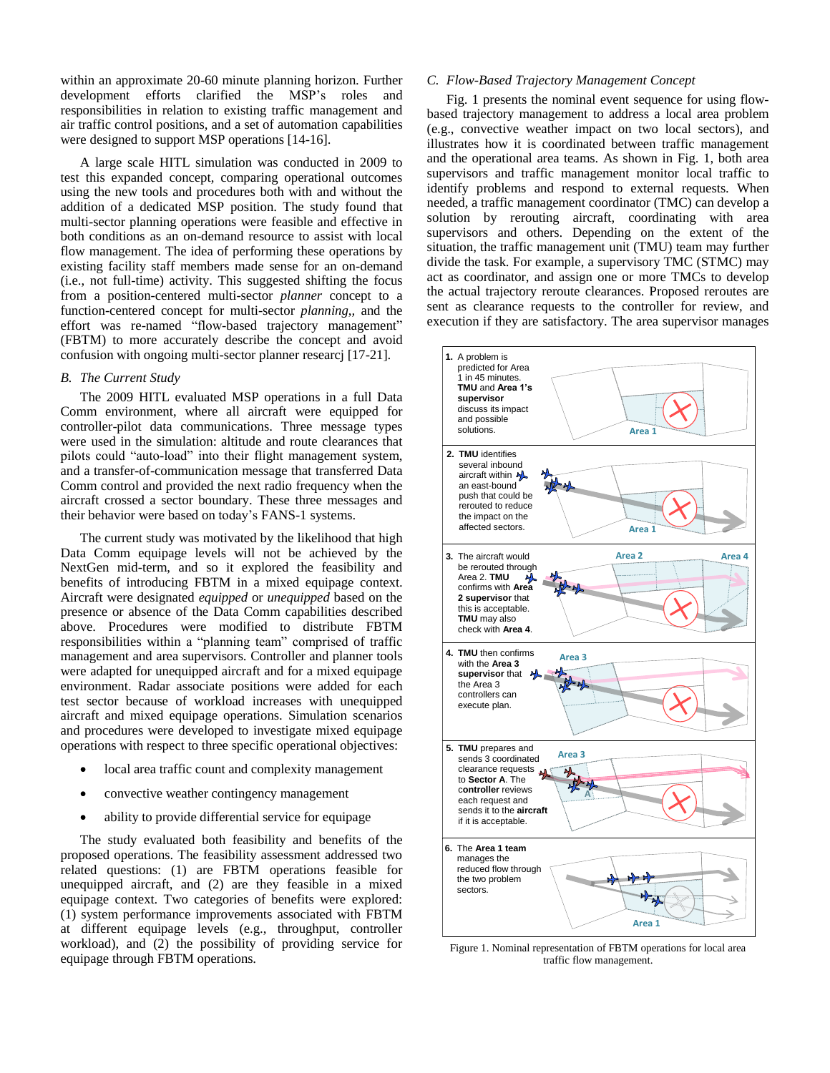within an approximate 20-60 minute planning horizon. Further development efforts clarified the MSP's roles and responsibilities in relation to existing traffic management and air traffic control positions, and a set of automation capabilities were designed to support MSP operations [14-16].

A large scale HITL simulation was conducted in 2009 to test this expanded concept, comparing operational outcomes using the new tools and procedures both with and without the addition of a dedicated MSP position. The study found that multi-sector planning operations were feasible and effective in both conditions as an on-demand resource to assist with local flow management. The idea of performing these operations by existing facility staff members made sense for an on-demand (i.e., not full-time) activity. This suggested shifting the focus from a position-centered multi-sector *planner* concept to a function-centered concept for multi-sector *planning*,*,* and the effort was re-named "flow-based trajectory management" (FBTM) to more accurately describe the concept and avoid confusion with ongoing multi-sector planner researcj [17-21].

## *B. The Current Study*

The 2009 HITL evaluated MSP operations in a full Data Comm environment, where all aircraft were equipped for controller-pilot data communications. Three message types were used in the simulation: altitude and route clearances that pilots could "auto-load" into their flight management system, and a transfer-of-communication message that transferred Data Comm control and provided the next radio frequency when the aircraft crossed a sector boundary. These three messages and their behavior were based on today's FANS-1 systems.

The current study was motivated by the likelihood that high Data Comm equipage levels will not be achieved by the NextGen mid-term, and so it explored the feasibility and benefits of introducing FBTM in a mixed equipage context. Aircraft were designated *equipped* or *unequipped* based on the presence or absence of the Data Comm capabilities described above. Procedures were modified to distribute FBTM responsibilities within a "planning team" comprised of traffic management and area supervisors. Controller and planner tools were adapted for unequipped aircraft and for a mixed equipage environment. Radar associate positions were added for each test sector because of workload increases with unequipped aircraft and mixed equipage operations. Simulation scenarios and procedures were developed to investigate mixed equipage operations with respect to three specific operational objectives:

- local area traffic count and complexity management
- convective weather contingency management
- ability to provide differential service for equipage

The study evaluated both feasibility and benefits of the proposed operations. The feasibility assessment addressed two related questions: (1) are FBTM operations feasible for unequipped aircraft, and (2) are they feasible in a mixed equipage context. Two categories of benefits were explored: (1) system performance improvements associated with FBTM at different equipage levels (e.g., throughput, controller workload), and (2) the possibility of providing service for equipage through FBTM operations.

## *C. Flow-Based Trajectory Management Concept*

Fig. 1 presents the nominal event sequence for using flowbased trajectory management to address a local area problem (e.g., convective weather impact on two local sectors), and illustrates how it is coordinated between traffic management and the operational area teams. As shown in Fig. 1, both area supervisors and traffic management monitor local traffic to identify problems and respond to external requests. When needed, a traffic management coordinator (TMC) can develop a solution by rerouting aircraft, coordinating with area supervisors and others. Depending on the extent of the situation, the traffic management unit (TMU) team may further divide the task. For example, a supervisory TMC (STMC) may act as coordinator, and assign one or more TMCs to develop the actual trajectory reroute clearances. Proposed reroutes are sent as clearance requests to the controller for review, and execution if they are satisfactory. The area supervisor manages



Figure 1. Nominal representation of FBTM operations for local area traffic flow management.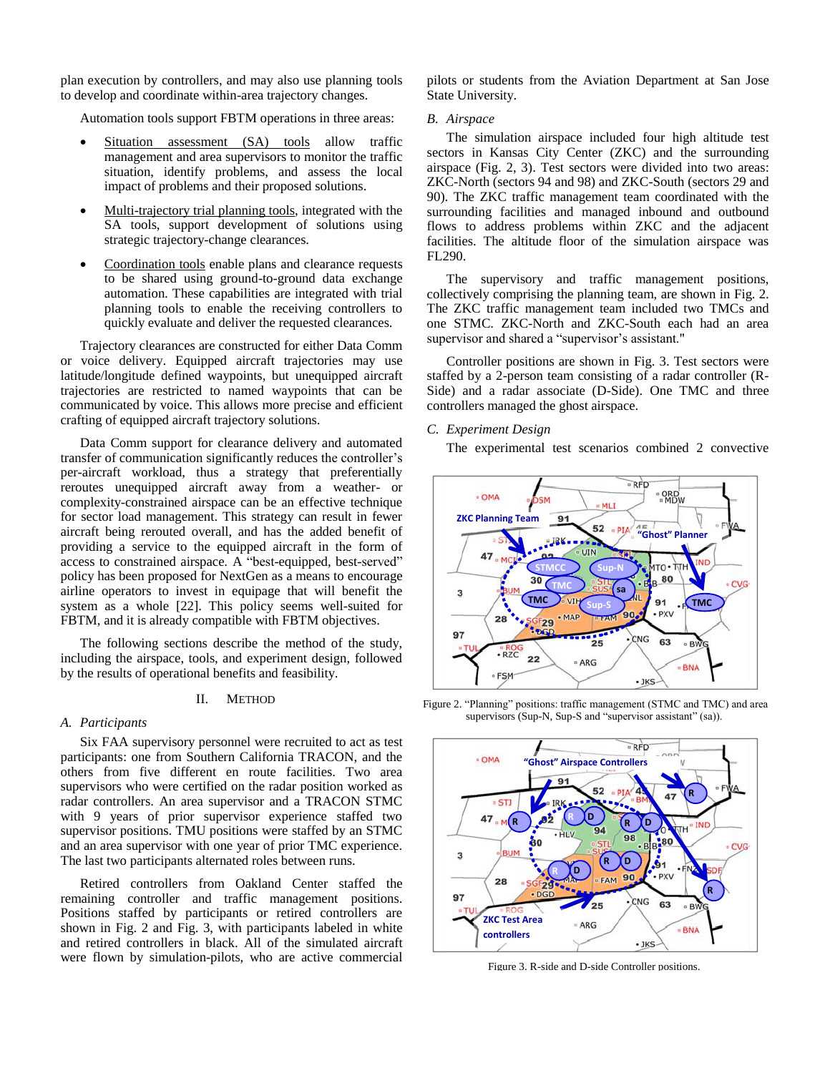plan execution by controllers, and may also use planning tools to develop and coordinate within-area trajectory changes.

Automation tools support FBTM operations in three areas:

- Situation assessment (SA) tools allow traffic management and area supervisors to monitor the traffic situation, identify problems, and assess the local impact of problems and their proposed solutions.
- Multi-trajectory trial planning tools, integrated with the SA tools, support development of solutions using strategic trajectory-change clearances.
- Coordination tools enable plans and clearance requests to be shared using ground-to-ground data exchange automation. These capabilities are integrated with trial planning tools to enable the receiving controllers to quickly evaluate and deliver the requested clearances.

Trajectory clearances are constructed for either Data Comm or voice delivery. Equipped aircraft trajectories may use latitude/longitude defined waypoints, but unequipped aircraft trajectories are restricted to named waypoints that can be communicated by voice. This allows more precise and efficient crafting of equipped aircraft trajectory solutions.

Data Comm support for clearance delivery and automated transfer of communication significantly reduces the controller's per-aircraft workload, thus a strategy that preferentially reroutes unequipped aircraft away from a weather- or complexity-constrained airspace can be an effective technique for sector load management. This strategy can result in fewer aircraft being rerouted overall, and has the added benefit of providing a service to the equipped aircraft in the form of access to constrained airspace. A "best-equipped, best-served" policy has been proposed for NextGen as a means to encourage airline operators to invest in equipage that will benefit the system as a whole [22]. This policy seems well-suited for FBTM, and it is already compatible with FBTM objectives.

The following sections describe the method of the study, including the airspace, tools, and experiment design, followed by the results of operational benefits and feasibility.

#### II. METHOD

#### *A. Participants*

Six FAA supervisory personnel were recruited to act as test participants: one from Southern California TRACON, and the others from five different en route facilities. Two area supervisors who were certified on the radar position worked as radar controllers. An area supervisor and a TRACON STMC with 9 years of prior supervisor experience staffed two supervisor positions. TMU positions were staffed by an STMC and an area supervisor with one year of prior TMC experience. The last two participants alternated roles between runs.

Retired controllers from Oakland Center staffed the remaining controller and traffic management positions. Positions staffed by participants or retired controllers are shown in Fig. 2 and Fig. 3, with participants labeled in white and retired controllers in black. All of the simulated aircraft were flown by simulation-pilots, who are active commercial pilots or students from the Aviation Department at San Jose State University.

#### *B. Airspace*

The simulation airspace included four high altitude test sectors in Kansas City Center (ZKC) and the surrounding airspace (Fig. 2, 3). Test sectors were divided into two areas: ZKC-North (sectors 94 and 98) and ZKC-South (sectors 29 and 90). The ZKC traffic management team coordinated with the surrounding facilities and managed inbound and outbound flows to address problems within ZKC and the adjacent facilities. The altitude floor of the simulation airspace was FL290.

The supervisory and traffic management positions, collectively comprising the planning team, are shown in Fig. 2. The ZKC traffic management team included two TMCs and one STMC. ZKC-North and ZKC-South each had an area supervisor and shared a "supervisor's assistant."

Controller positions are shown in Fig. 3. Test sectors were staffed by a 2-person team consisting of a radar controller (R-Side) and a radar associate (D-Side). One TMC and three controllers managed the ghost airspace.

## *C. Experiment Design*

The experimental test scenarios combined 2 convective



Figure 2. "Planning" positions: traffic management (STMC and TMC) and area supervisors (Sup-N, Sup-S and "supervisor assistant" (sa)).



Figure 3. R-side and D-side Controller positions.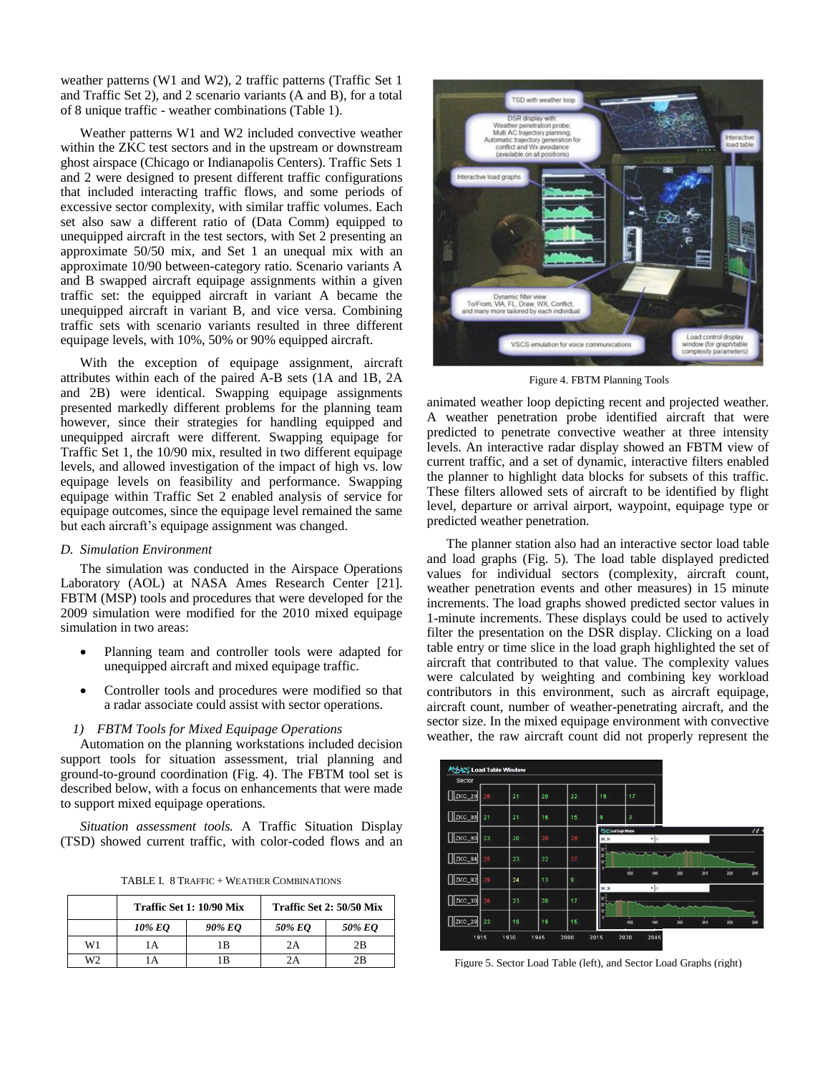weather patterns (W1 and W2), 2 traffic patterns (Traffic Set 1 and Traffic Set 2), and 2 scenario variants (A and B), for a total of 8 unique traffic - weather combinations (Table 1).

Weather patterns W1 and W2 included convective weather within the ZKC test sectors and in the upstream or downstream ghost airspace (Chicago or Indianapolis Centers). Traffic Sets 1 and 2 were designed to present different traffic configurations that included interacting traffic flows, and some periods of excessive sector complexity, with similar traffic volumes. Each set also saw a different ratio of (Data Comm) equipped to unequipped aircraft in the test sectors, with Set 2 presenting an approximate 50/50 mix, and Set 1 an unequal mix with an approximate 10/90 between-category ratio. Scenario variants A and B swapped aircraft equipage assignments within a given traffic set: the equipped aircraft in variant A became the unequipped aircraft in variant B, and vice versa. Combining traffic sets with scenario variants resulted in three different equipage levels, with 10%, 50% or 90% equipped aircraft.

With the exception of equipage assignment, aircraft attributes within each of the paired A-B sets (1A and 1B, 2A and 2B) were identical. Swapping equipage assignments presented markedly different problems for the planning team however, since their strategies for handling equipped and unequipped aircraft were different. Swapping equipage for Traffic Set 1, the 10/90 mix, resulted in two different equipage levels, and allowed investigation of the impact of high vs. low equipage levels on feasibility and performance. Swapping equipage within Traffic Set 2 enabled analysis of service for equipage outcomes, since the equipage level remained the same but each aircraft's equipage assignment was changed.

## *D. Simulation Environment*

The simulation was conducted in the Airspace Operations Laboratory (AOL) at NASA Ames Research Center [21]. FBTM (MSP) tools and procedures that were developed for the 2009 simulation were modified for the 2010 mixed equipage simulation in two areas:

- Planning team and controller tools were adapted for unequipped aircraft and mixed equipage traffic.
- Controller tools and procedures were modified so that a radar associate could assist with sector operations.

#### *1) FBTM Tools for Mixed Equipage Operations*

Automation on the planning workstations included decision support tools for situation assessment, trial planning and ground-to-ground coordination (Fig. 4). The FBTM tool set is described below, with a focus on enhancements that were made to support mixed equipage operations.

*Situation assessment tools.* A Traffic Situation Display (TSD) showed current traffic, with color-coded flows and an

TABLE I. 8 TRAFFIC + WEATHER COMBINATIONS

|                |        | Traffic Set 1: 10/90 Mix |        | Traffic Set 2: 50/50 Mix |  |  |
|----------------|--------|--------------------------|--------|--------------------------|--|--|
|                | 10% EO | 90% EO                   | 50% EO | 50% EO                   |  |  |
| W1             | A      | 1 B                      | 2Α     | 2B                       |  |  |
| W <sub>2</sub> |        | B                        | 'А     | 2B                       |  |  |



Figure 4. FBTM Planning Tools

animated weather loop depicting recent and projected weather. A weather penetration probe identified aircraft that were predicted to penetrate convective weather at three intensity levels. An interactive radar display showed an FBTM view of current traffic, and a set of dynamic, interactive filters enabled the planner to highlight data blocks for subsets of this traffic. These filters allowed sets of aircraft to be identified by flight level, departure or arrival airport, waypoint, equipage type or predicted weather penetration.

The planner station also had an interactive sector load table and load graphs (Fig. 5). The load table displayed predicted values for individual sectors (complexity, aircraft count, weather penetration events and other measures) in 15 minute increments. The load graphs showed predicted sector values in 1-minute increments. These displays could be used to actively filter the presentation on the DSR display. Clicking on a load table entry or time slice in the load graph highlighted the set of aircraft that contributed to that value. The complexity values were calculated by weighting and combining key workload contributors in this environment, such as aircraft equipage, aircraft count, number of weather-penetrating aircraft, and the sector size. In the mixed equipage environment with convective weather, the raw aircraft count did not properly represent the

| <b>MEACS Load Table Window</b><br>Sector |    |    |    |    |                                 |                |                 |      |      |      |      |
|------------------------------------------|----|----|----|----|---------------------------------|----------------|-----------------|------|------|------|------|
| ZKC_29                                   | 26 | 21 | 20 | 22 | 19                              | 17             |                 |      |      |      |      |
| ZKC_98                                   | 21 | 21 | 16 | 15 | 9                               | $\overline{3}$ |                 |      |      |      |      |
|                                          |    |    |    |    | <b>PLACS Load Graph Window</b>  |                |                 |      |      |      | d d  |
| ZKC_90                                   | 23 | 20 | 30 | 29 | ZKC 94                          |                | $\mathbf{v}$ 24 |      |      |      |      |
| ZKC_94                                   | 25 | 23 | 22 | 27 | W.<br>10"                       |                |                 |      |      |      |      |
|                                          | 29 |    |    | 9  |                                 | 1930           | 1945            | 2000 | 2015 | 2030 | 2045 |
| ZKC_92                                   |    | 24 | 13 |    | ZNC_30                          |                | $-1\times$      |      |      |      |      |
| ZKC_30                                   | 26 | 23 | 20 | 17 | w<br>$\boldsymbol{\mathcal{R}}$ |                |                 |      |      |      |      |
| ZKC_28                                   | 23 | 19 | 18 | 15 |                                 | 1930           | 1945            | 2000 | 2015 | 2030 | 2045 |
|                                          |    |    |    |    |                                 |                |                 |      |      |      |      |

Figure 5. Sector Load Table (left), and Sector Load Graphs (right)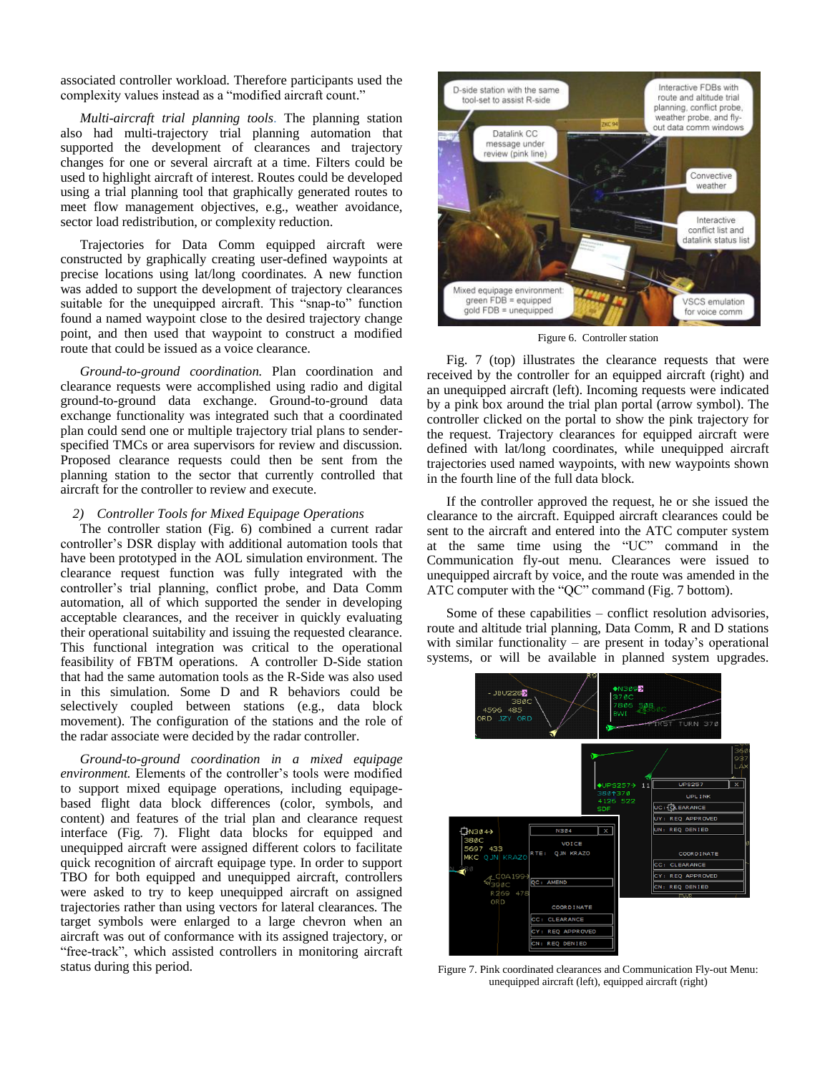associated controller workload. Therefore participants used the complexity values instead as a "modified aircraft count."

*Multi-aircraft trial planning tools*. The planning station also had multi-trajectory trial planning automation that supported the development of clearances and trajectory changes for one or several aircraft at a time. Filters could be used to highlight aircraft of interest. Routes could be developed using a trial planning tool that graphically generated routes to meet flow management objectives, e.g., weather avoidance, sector load redistribution, or complexity reduction.

Trajectories for Data Comm equipped aircraft were constructed by graphically creating user-defined waypoints at precise locations using lat/long coordinates. A new function was added to support the development of trajectory clearances suitable for the unequipped aircraft. This "snap-to" function found a named waypoint close to the desired trajectory change point, and then used that waypoint to construct a modified route that could be issued as a voice clearance.

*Ground-to-ground coordination.* Plan coordination and clearance requests were accomplished using radio and digital ground-to-ground data exchange. Ground-to-ground data exchange functionality was integrated such that a coordinated plan could send one or multiple trajectory trial plans to senderspecified TMCs or area supervisors for review and discussion. Proposed clearance requests could then be sent from the planning station to the sector that currently controlled that aircraft for the controller to review and execute.

## *2) Controller Tools for Mixed Equipage Operations*

The controller station (Fig. 6) combined a current radar controller's DSR display with additional automation tools that have been prototyped in the AOL simulation environment. The clearance request function was fully integrated with the controller's trial planning, conflict probe, and Data Comm automation, all of which supported the sender in developing acceptable clearances, and the receiver in quickly evaluating their operational suitability and issuing the requested clearance. This functional integration was critical to the operational feasibility of FBTM operations. A controller D-Side station that had the same automation tools as the R-Side was also used in this simulation. Some D and R behaviors could be selectively coupled between stations (e.g., data block movement). The configuration of the stations and the role of the radar associate were decided by the radar controller.

*Ground-to-ground coordination in a mixed equipage environment.* Elements of the controller's tools were modified to support mixed equipage operations, including equipagebased flight data block differences (color, symbols, and content) and features of the trial plan and clearance request interface (Fig. 7). Flight data blocks for equipped and unequipped aircraft were assigned different colors to facilitate quick recognition of aircraft equipage type. In order to support TBO for both equipped and unequipped aircraft, controllers were asked to try to keep unequipped aircraft on assigned trajectories rather than using vectors for lateral clearances. The target symbols were enlarged to a large chevron when an aircraft was out of conformance with its assigned trajectory, or "free-track", which assisted controllers in monitoring aircraft status during this period.



Figure 6. Controller station

Fig. 7 (top) illustrates the clearance requests that were received by the controller for an equipped aircraft (right) and an unequipped aircraft (left). Incoming requests were indicated by a pink box around the trial plan portal (arrow symbol). The controller clicked on the portal to show the pink trajectory for the request. Trajectory clearances for equipped aircraft were defined with lat/long coordinates, while unequipped aircraft trajectories used named waypoints, with new waypoints shown in the fourth line of the full data block.

If the controller approved the request, he or she issued the clearance to the aircraft. Equipped aircraft clearances could be sent to the aircraft and entered into the ATC computer system at the same time using the "UC" command in the Communication fly-out menu. Clearances were issued to unequipped aircraft by voice, and the route was amended in the ATC computer with the "QC" command (Fig. 7 bottom).

Some of these capabilities – conflict resolution advisories, route and altitude trial planning, Data Comm, R and D stations with similar functionality – are present in today's operational systems, or will be available in planned system upgrades.



Figure 7. Pink coordinated clearances and Communication Fly-out Menu: unequipped aircraft (left), equipped aircraft (right)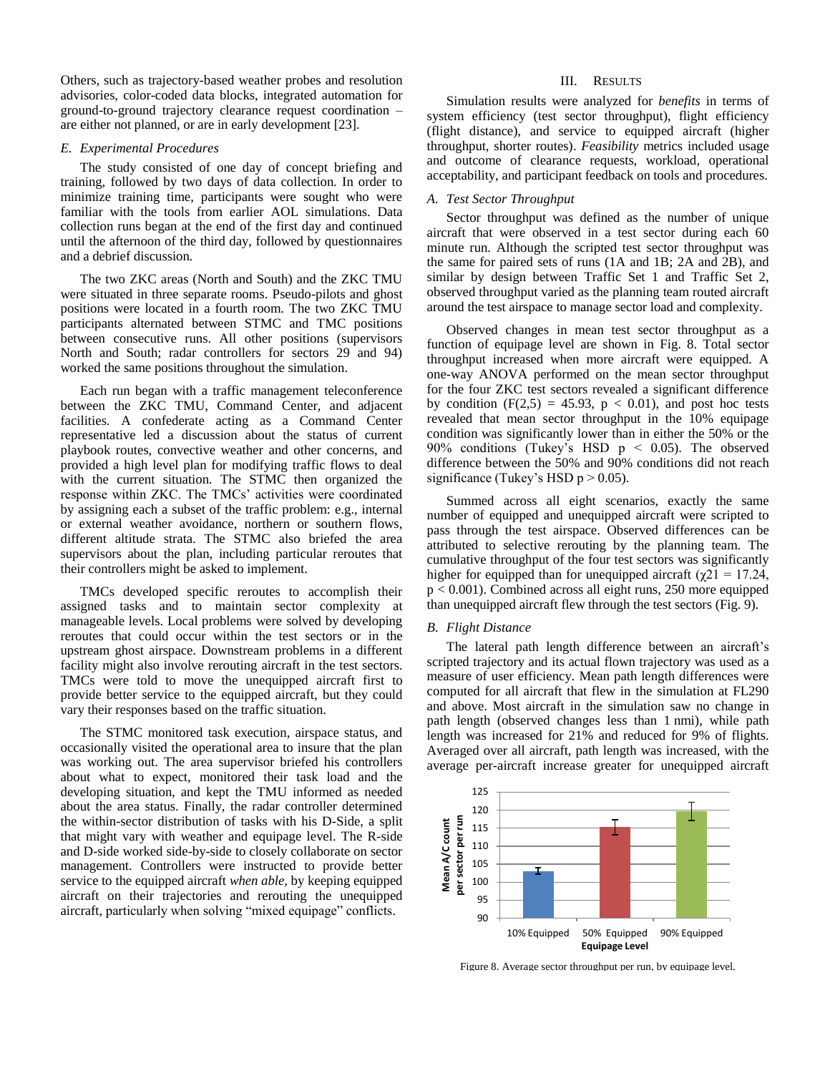Others, such as trajectory-based weather probes and resolution advisories, color-coded data blocks, integrated automation for ground-to-ground trajectory clearance request coordination – are either not planned, or are in early development [23].

## *E. Experimental Procedures*

The study consisted of one day of concept briefing and training, followed by two days of data collection. In order to minimize training time, participants were sought who were familiar with the tools from earlier AOL simulations. Data collection runs began at the end of the first day and continued until the afternoon of the third day, followed by questionnaires and a debrief discussion.

The two ZKC areas (North and South) and the ZKC TMU were situated in three separate rooms. Pseudo-pilots and ghost positions were located in a fourth room. The two ZKC TMU participants alternated between STMC and TMC positions between consecutive runs. All other positions (supervisors North and South; radar controllers for sectors 29 and 94) worked the same positions throughout the simulation.

Each run began with a traffic management teleconference between the ZKC TMU, Command Center, and adjacent facilities. A confederate acting as a Command Center representative led a discussion about the status of current playbook routes, convective weather and other concerns, and provided a high level plan for modifying traffic flows to deal with the current situation. The STMC then organized the response within ZKC. The TMCs' activities were coordinated by assigning each a subset of the traffic problem: e.g., internal or external weather avoidance, northern or southern flows, different altitude strata. The STMC also briefed the area supervisors about the plan, including particular reroutes that their controllers might be asked to implement.

TMCs developed specific reroutes to accomplish their assigned tasks and to maintain sector complexity at manageable levels. Local problems were solved by developing reroutes that could occur within the test sectors or in the upstream ghost airspace. Downstream problems in a different facility might also involve rerouting aircraft in the test sectors. TMCs were told to move the unequipped aircraft first to provide better service to the equipped aircraft, but they could vary their responses based on the traffic situation.

The STMC monitored task execution, airspace status, and occasionally visited the operational area to insure that the plan was working out. The area supervisor briefed his controllers about what to expect, monitored their task load and the developing situation, and kept the TMU informed as needed about the area status. Finally, the radar controller determined the within-sector distribution of tasks with his D-Side, a split that might vary with weather and equipage level. The R-side and D-side worked side-by-side to closely collaborate on sector management. Controllers were instructed to provide better service to the equipped aircraft *when able,* by keeping equipped aircraft on their trajectories and rerouting the unequipped aircraft, particularly when solving "mixed equipage" conflicts.

#### III. RESULTS

Simulation results were analyzed for *benefits* in terms of system efficiency (test sector throughput), flight efficiency (flight distance), and service to equipped aircraft (higher throughput, shorter routes). *Feasibility* metrics included usage and outcome of clearance requests, workload, operational acceptability, and participant feedback on tools and procedures.

## *A. Test Sector Throughput*

Sector throughput was defined as the number of unique aircraft that were observed in a test sector during each 60 minute run. Although the scripted test sector throughput was the same for paired sets of runs (1A and 1B; 2A and 2B), and similar by design between Traffic Set 1 and Traffic Set 2, observed throughput varied as the planning team routed aircraft around the test airspace to manage sector load and complexity.

Observed changes in mean test sector throughput as a function of equipage level are shown in Fig. 8. Total sector throughput increased when more aircraft were equipped. A one-way ANOVA performed on the mean sector throughput for the four ZKC test sectors revealed a significant difference by condition  $(F(2,5) = 45.93, p < 0.01)$ , and post hoc tests revealed that mean sector throughput in the 10% equipage condition was significantly lower than in either the 50% or the 90% conditions (Tukey's HSD p < 0.05). The observed difference between the 50% and 90% conditions did not reach significance (Tukey's HSD  $p > 0.05$ ).

Summed across all eight scenarios, exactly the same number of equipped and unequipped aircraft were scripted to pass through the test airspace. Observed differences can be attributed to selective rerouting by the planning team. The cumulative throughput of the four test sectors was significantly higher for equipped than for unequipped aircraft ( $\chi$ 21 = 17.24, p < 0.001). Combined across all eight runs, 250 more equipped than unequipped aircraft flew through the test sectors (Fig. 9).

## *B. Flight Distance*

The lateral path length difference between an aircraft's scripted trajectory and its actual flown trajectory was used as a measure of user efficiency. Mean path length differences were computed for all aircraft that flew in the simulation at FL290 and above. Most aircraft in the simulation saw no change in path length (observed changes less than 1 nmi), while path length was increased for 21% and reduced for 9% of flights. Averaged over all aircraft, path length was increased, with the average per-aircraft increase greater for unequipped aircraft



Figure 8. Average sector throughput per run, by equipage level.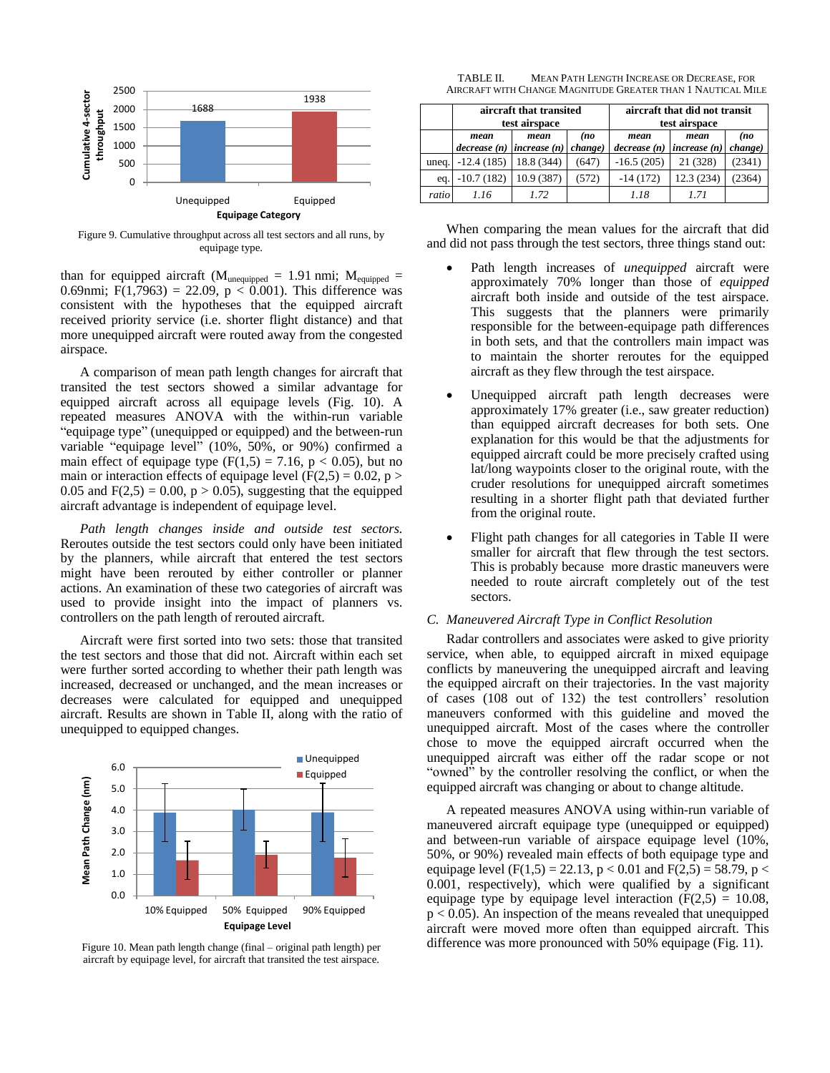

Figure 9. Cumulative throughput across all test sectors and all runs, by equipage type.

than for equipped aircraft ( $M_{\text{unequipped}} = 1.91 \text{ nmi}$ ;  $M_{\text{equipped}} =$ 0.69nmi; F(1,7963) = 22.09,  $p < 0.001$ ). This difference was consistent with the hypotheses that the equipped aircraft received priority service (i.e. shorter flight distance) and that more unequipped aircraft were routed away from the congested airspace.

A comparison of mean path length changes for aircraft that transited the test sectors showed a similar advantage for equipped aircraft across all equipage levels (Fig. 10). A repeated measures ANOVA with the within-run variable "equipage type" (unequipped or equipped) and the between-run variable "equipage level" (10%, 50%, or 90%) confirmed a main effect of equipage type  $(F(1,5) = 7.16, p < 0.05)$ , but no main or interaction effects of equipage level ( $F(2,5) = 0.02$ , p > 0.05 and  $F(2,5) = 0.00$ ,  $p > 0.05$ ), suggesting that the equipped aircraft advantage is independent of equipage level.

*Path length changes inside and outside test sectors.*  Reroutes outside the test sectors could only have been initiated by the planners, while aircraft that entered the test sectors might have been rerouted by either controller or planner actions. An examination of these two categories of aircraft was used to provide insight into the impact of planners vs. controllers on the path length of rerouted aircraft.

Aircraft were first sorted into two sets: those that transited the test sectors and those that did not. Aircraft within each set were further sorted according to whether their path length was increased, decreased or unchanged, and the mean increases or decreases were calculated for equipped and unequipped aircraft. Results are shown in Table II, along with the ratio of unequipped to equipped changes.



aircraft by equipage level, for aircraft that transited the test airspace.

TABLE II. MEAN PATH LENGTH INCREASE OR DECREASE, FOR AIRCRAFT WITH CHANGE MAGNITUDE GREATER THAN 1 NAUTICAL MILE

|       | aircraft that transited<br>test airspace |                     |                        |                     | aircraft that did not transit<br>test airspace |                        |  |
|-------|------------------------------------------|---------------------|------------------------|---------------------|------------------------------------------------|------------------------|--|
|       | mean<br>decrease (n)                     | mean<br>increase(n) | (no<br><i>change</i> ) | mean<br>decrease(n) | mean<br>increase (n)                           | (no<br><i>change</i> ) |  |
| uneq. | $-12.4(185)$                             | 18.8 (344)          | (647)                  | $-16.5(205)$        | 21 (328)                                       | (2341)                 |  |
| eq.   | $-10.7(182)$                             | 10.9 (387)          | (572)                  | $-14(172)$          | 12.3(234)                                      | (2364)                 |  |
| ratio | 1.16                                     | 1.72                |                        | 1.18                | 1.71                                           |                        |  |

When comparing the mean values for the aircraft that did and did not pass through the test sectors, three things stand out:

- Path length increases of *unequipped* aircraft were approximately 70% longer than those of *equipped* aircraft both inside and outside of the test airspace. This suggests that the planners were primarily responsible for the between-equipage path differences in both sets, and that the controllers main impact was to maintain the shorter reroutes for the equipped aircraft as they flew through the test airspace.
- Unequipped aircraft path length decreases were approximately 17% greater (i.e., saw greater reduction) than equipped aircraft decreases for both sets. One explanation for this would be that the adjustments for equipped aircraft could be more precisely crafted using lat/long waypoints closer to the original route, with the cruder resolutions for unequipped aircraft sometimes resulting in a shorter flight path that deviated further from the original route.
- Flight path changes for all categories in Table II were smaller for aircraft that flew through the test sectors. This is probably because more drastic maneuvers were needed to route aircraft completely out of the test sectors.

## *C. Maneuvered Aircraft Type in Conflict Resolution*

Radar controllers and associates were asked to give priority service, when able, to equipped aircraft in mixed equipage conflicts by maneuvering the unequipped aircraft and leaving the equipped aircraft on their trajectories. In the vast majority of cases (108 out of 132) the test controllers' resolution maneuvers conformed with this guideline and moved the unequipped aircraft. Most of the cases where the controller chose to move the equipped aircraft occurred when the unequipped aircraft was either off the radar scope or not "owned" by the controller resolving the conflict, or when the equipped aircraft was changing or about to change altitude.

A repeated measures ANOVA using within-run variable of maneuvered aircraft equipage type (unequipped or equipped) and between-run variable of airspace equipage level (10%, 50%, or 90%) revealed main effects of both equipage type and equipage level (F(1,5) = 22.13, p < 0.01 and F(2,5) = 58.79, p < 0.001, respectively), which were qualified by a significant equipage type by equipage level interaction  $(F(2,5) = 10.08,$  $p < 0.05$ ). An inspection of the means revealed that unequipped aircraft were moved more often than equipped aircraft. This Figure 10. Mean path length change (final – original path length) per difference was more pronounced with 50% equipage (Fig. 11).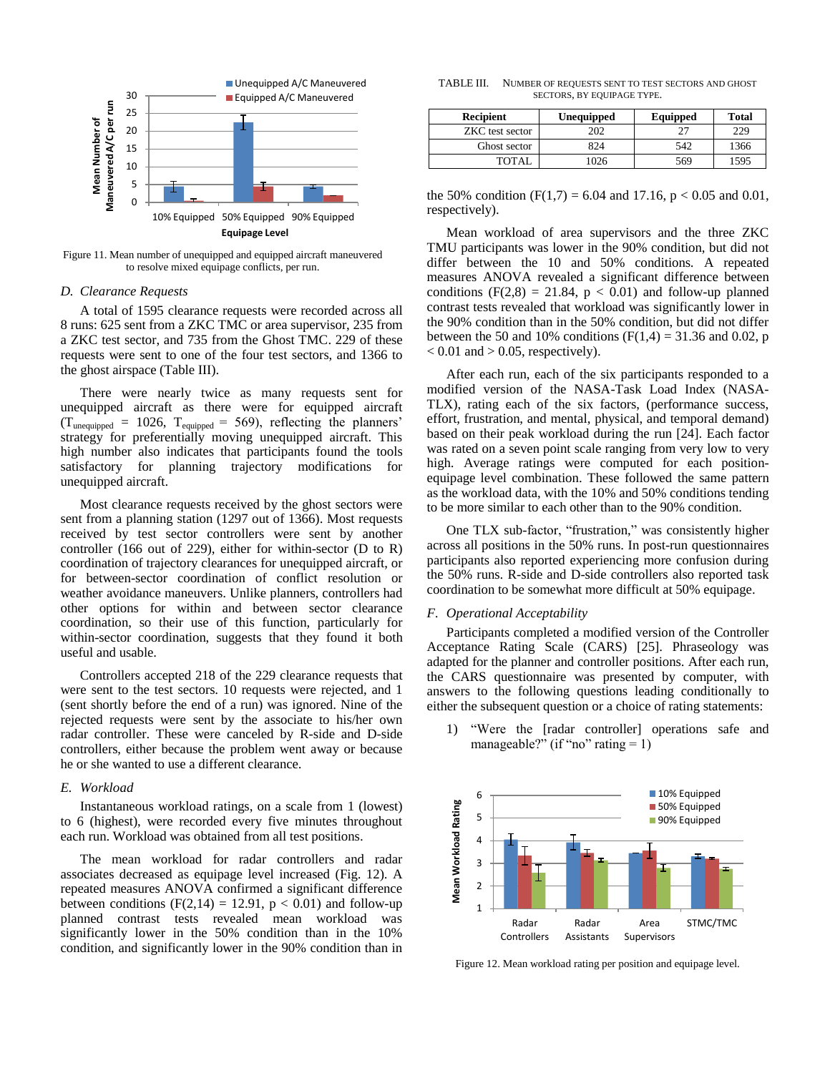

Figure 11. Mean number of unequipped and equipped aircraft maneuvered to resolve mixed equipage conflicts, per run.

#### *D. Clearance Requests*

A total of 1595 clearance requests were recorded across all 8 runs: 625 sent from a ZKC TMC or area supervisor, 235 from a ZKC test sector, and 735 from the Ghost TMC. 229 of these requests were sent to one of the four test sectors, and 1366 to the ghost airspace (Table III).

There were nearly twice as many requests sent for unequipped aircraft as there were for equipped aircraft  $(T_{unequipped} = 1026, T_{equipped} = 569)$ , reflecting the planners' strategy for preferentially moving unequipped aircraft. This high number also indicates that participants found the tools satisfactory for planning trajectory modifications for unequipped aircraft.

Most clearance requests received by the ghost sectors were sent from a planning station (1297 out of 1366). Most requests received by test sector controllers were sent by another controller (166 out of 229), either for within-sector (D to R) coordination of trajectory clearances for unequipped aircraft, or for between-sector coordination of conflict resolution or weather avoidance maneuvers. Unlike planners, controllers had other options for within and between sector clearance coordination, so their use of this function, particularly for within-sector coordination, suggests that they found it both useful and usable.

Controllers accepted 218 of the 229 clearance requests that were sent to the test sectors. 10 requests were rejected, and 1 (sent shortly before the end of a run) was ignored. Nine of the rejected requests were sent by the associate to his/her own radar controller. These were canceled by R-side and D-side controllers, either because the problem went away or because he or she wanted to use a different clearance.

#### *E. Workload*

Instantaneous workload ratings, on a scale from 1 (lowest) to 6 (highest), were recorded every five minutes throughout each run. Workload was obtained from all test positions.

The mean workload for radar controllers and radar associates decreased as equipage level increased (Fig. 12). A repeated measures ANOVA confirmed a significant difference between conditions ( $F(2,14) = 12.91$ ,  $p < 0.01$ ) and follow-up planned contrast tests revealed mean workload was significantly lower in the 50% condition than in the 10% condition, and significantly lower in the 90% condition than in

TABLE III. NUMBER OF REQUESTS SENT TO TEST SECTORS AND GHOST SECTORS, BY EQUIPAGE TYPE.

| <b>Recipient</b> | Unequipped | Equipped | <b>Total</b> |  |
|------------------|------------|----------|--------------|--|
| ZKC test sector  | 202        | 27       | 229          |  |
| Ghost sector     | 824        | 542      | 1366         |  |
| TOTAL.           | 726        | 569      | 1595         |  |

the 50% condition (F(1,7) = 6.04 and 17.16, p < 0.05 and 0.01, respectively).

Mean workload of area supervisors and the three ZKC TMU participants was lower in the 90% condition, but did not differ between the 10 and 50% conditions. A repeated measures ANOVA revealed a significant difference between conditions  $(F(2,8) = 21.84, p < 0.01)$  and follow-up planned contrast tests revealed that workload was significantly lower in the 90% condition than in the 50% condition, but did not differ between the 50 and 10% conditions ( $F(1,4) = 31.36$  and 0.02, p  $< 0.01$  and  $> 0.05$ , respectively).

After each run, each of the six participants responded to a modified version of the NASA-Task Load Index (NASA-TLX), rating each of the six factors, (performance success, effort, frustration, and mental, physical, and temporal demand) based on their peak workload during the run [24]. Each factor was rated on a seven point scale ranging from very low to very high. Average ratings were computed for each positionequipage level combination. These followed the same pattern as the workload data, with the 10% and 50% conditions tending to be more similar to each other than to the 90% condition.

One TLX sub-factor, "frustration," was consistently higher across all positions in the 50% runs. In post-run questionnaires participants also reported experiencing more confusion during the 50% runs. R-side and D-side controllers also reported task coordination to be somewhat more difficult at 50% equipage.

#### *F. Operational Acceptability*

Participants completed a modified version of the Controller Acceptance Rating Scale (CARS) [25]. Phraseology was adapted for the planner and controller positions. After each run, the CARS questionnaire was presented by computer, with answers to the following questions leading conditionally to either the subsequent question or a choice of rating statements:

1) "Were the [radar controller] operations safe and manageable?" (if "no" rating  $= 1$ )



Figure 12. Mean workload rating per position and equipage level.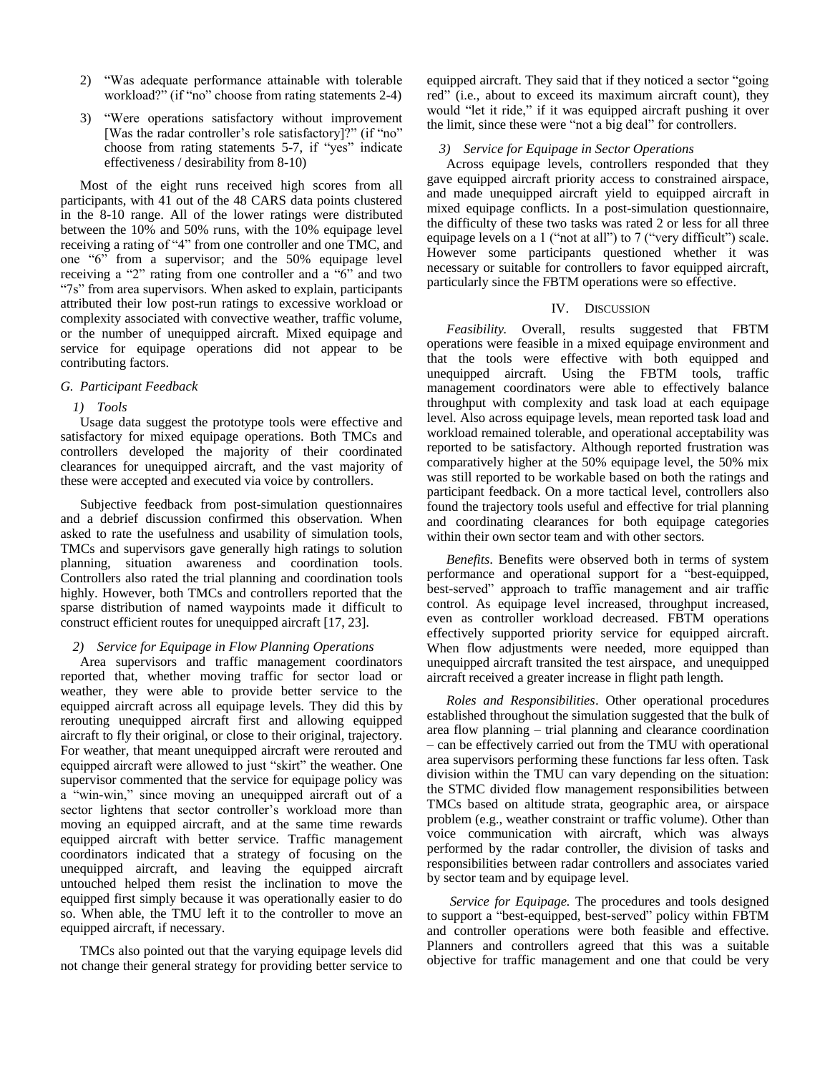- 2) "Was adequate performance attainable with tolerable workload?" (if "no" choose from rating statements 2-4)
- 3) "Were operations satisfactory without improvement [Was the radar controller's role satisfactory]?" (if "no" choose from rating statements 5-7, if "yes" indicate effectiveness / desirability from 8-10)

Most of the eight runs received high scores from all participants, with 41 out of the 48 CARS data points clustered in the 8-10 range. All of the lower ratings were distributed between the 10% and 50% runs, with the 10% equipage level receiving a rating of "4" from one controller and one TMC, and one "6" from a supervisor; and the 50% equipage level receiving a "2" rating from one controller and a "6" and two "7s" from area supervisors. When asked to explain, participants attributed their low post-run ratings to excessive workload or complexity associated with convective weather, traffic volume, or the number of unequipped aircraft. Mixed equipage and service for equipage operations did not appear to be contributing factors.

## *G. Participant Feedback*

# *1) Tools*

Usage data suggest the prototype tools were effective and satisfactory for mixed equipage operations. Both TMCs and controllers developed the majority of their coordinated clearances for unequipped aircraft, and the vast majority of these were accepted and executed via voice by controllers.

Subjective feedback from post-simulation questionnaires and a debrief discussion confirmed this observation. When asked to rate the usefulness and usability of simulation tools, TMCs and supervisors gave generally high ratings to solution planning, situation awareness and coordination tools. Controllers also rated the trial planning and coordination tools highly. However, both TMCs and controllers reported that the sparse distribution of named waypoints made it difficult to construct efficient routes for unequipped aircraft [17, 23].

# *2) Service for Equipage in Flow Planning Operations*

Area supervisors and traffic management coordinators reported that, whether moving traffic for sector load or weather, they were able to provide better service to the equipped aircraft across all equipage levels. They did this by rerouting unequipped aircraft first and allowing equipped aircraft to fly their original, or close to their original, trajectory. For weather, that meant unequipped aircraft were rerouted and equipped aircraft were allowed to just "skirt" the weather. One supervisor commented that the service for equipage policy was a "win-win," since moving an unequipped aircraft out of a sector lightens that sector controller's workload more than moving an equipped aircraft, and at the same time rewards equipped aircraft with better service. Traffic management coordinators indicated that a strategy of focusing on the unequipped aircraft, and leaving the equipped aircraft untouched helped them resist the inclination to move the equipped first simply because it was operationally easier to do so. When able, the TMU left it to the controller to move an equipped aircraft, if necessary.

TMCs also pointed out that the varying equipage levels did not change their general strategy for providing better service to equipped aircraft. They said that if they noticed a sector "going red" (i.e., about to exceed its maximum aircraft count), they would "let it ride," if it was equipped aircraft pushing it over the limit, since these were "not a big deal" for controllers.

# *3) Service for Equipage in Sector Operations*

Across equipage levels, controllers responded that they gave equipped aircraft priority access to constrained airspace, and made unequipped aircraft yield to equipped aircraft in mixed equipage conflicts. In a post-simulation questionnaire, the difficulty of these two tasks was rated 2 or less for all three equipage levels on a 1 ("not at all") to 7 ("very difficult") scale. However some participants questioned whether it was necessary or suitable for controllers to favor equipped aircraft, particularly since the FBTM operations were so effective.

# IV. DISCUSSION

*Feasibility.* Overall, results suggested that FBTM operations were feasible in a mixed equipage environment and that the tools were effective with both equipped and unequipped aircraft. Using the FBTM tools, traffic management coordinators were able to effectively balance throughput with complexity and task load at each equipage level. Also across equipage levels, mean reported task load and workload remained tolerable, and operational acceptability was reported to be satisfactory. Although reported frustration was comparatively higher at the 50% equipage level, the 50% mix was still reported to be workable based on both the ratings and participant feedback. On a more tactical level, controllers also found the trajectory tools useful and effective for trial planning and coordinating clearances for both equipage categories within their own sector team and with other sectors.

*Benefits*. Benefits were observed both in terms of system performance and operational support for a "best-equipped, best-served" approach to traffic management and air traffic control. As equipage level increased, throughput increased, even as controller workload decreased. FBTM operations effectively supported priority service for equipped aircraft. When flow adjustments were needed, more equipped than unequipped aircraft transited the test airspace, and unequipped aircraft received a greater increase in flight path length.

*Roles and Responsibilities*. Other operational procedures established throughout the simulation suggested that the bulk of area flow planning – trial planning and clearance coordination – can be effectively carried out from the TMU with operational area supervisors performing these functions far less often. Task division within the TMU can vary depending on the situation: the STMC divided flow management responsibilities between TMCs based on altitude strata, geographic area, or airspace problem (e.g., weather constraint or traffic volume). Other than voice communication with aircraft, which was always performed by the radar controller, the division of tasks and responsibilities between radar controllers and associates varied by sector team and by equipage level.

*Service for Equipage.* The procedures and tools designed to support a "best-equipped, best-served" policy within FBTM and controller operations were both feasible and effective. Planners and controllers agreed that this was a suitable objective for traffic management and one that could be very